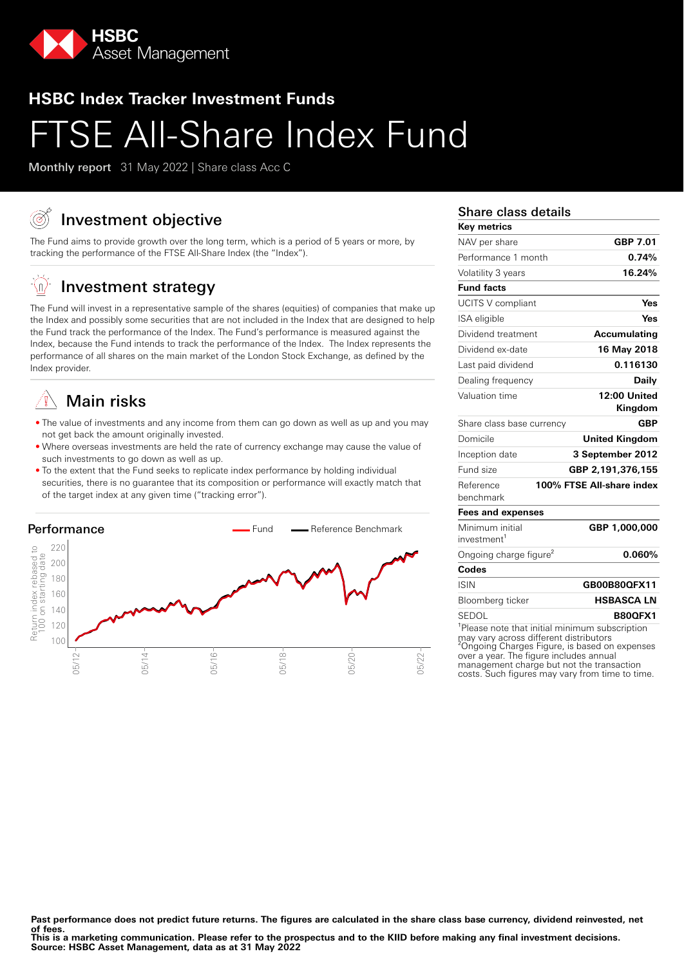

# **HSBC Index Tracker Investment Funds SE All-Share Index Fund**

Monthly report 31 May 2022 | Share class Acc C

# Investment objective

The Fund aims to provide growth over the long term, which is a period of 5 years or more, by tracking the performance of the FTSE All-Share Index (the "Index").

#### ĖΩ, Investment strategy

The Fund will invest in a representative sample of the shares (equities) of companies that make up the Index and possibly some securities that are not included in the Index that are designed to help the Fund track the performance of the Index. The Fund's performance is measured against the Index, because the Fund intends to track the performance of the Index. The Index represents the performance of all shares on the main market of the London Stock Exchange, as defined by the Index provider.

# Main risks

- The value of investments and any income from them can go down as well as up and you may not get back the amount originally invested.
- Where overseas investments are held the rate of currency exchange may cause the value of such investments to go down as well as up.
- To the extent that the Fund seeks to replicate index performance by holding individual securities, there is no guarantee that its composition or performance will exactly match that of the target index at any given time ("tracking error").



### Share class details

| Key metrics                        |                                        |
|------------------------------------|----------------------------------------|
| NAV per share                      | GBP 7.01                               |
| Performance 1 month                | 0.74%                                  |
| Volatility 3 years                 | 16.24%                                 |
| <b>Fund facts</b>                  |                                        |
| UCITS V compliant                  | Yes                                    |
| ISA eligible                       | Yes                                    |
| Dividend treatment                 | <b>Accumulating</b>                    |
| Dividend ex-date                   | 16 May 2018                            |
| Last paid dividend                 | 0.116130                               |
| Dealing frequency                  | Daily                                  |
| Valuation time                     | 12:00 United                           |
|                                    | Kingdom                                |
| Share class base currency          | <b>GBP</b>                             |
| Domicile                           | <b>United Kingdom</b>                  |
| Inception date                     | 3 September 2012                       |
| Fund size                          | GBP 2,191,376,155                      |
| Reference                          | 100% FTSE All-share index              |
| benchmark                          |                                        |
| <b>Fees and expenses</b>           |                                        |
| Minimum initial                    | GBP 1,000,000                          |
| investment <sup>1</sup>            |                                        |
| Ongoing charge figure <sup>2</sup> | 0.060%                                 |
| Codes                              |                                        |
| <b>ISIN</b>                        | GB00B80QFX11                           |
| Bloomberg ticker                   | <b>HSBASCA LN</b>                      |
| SEDOL                              | <b>B800FX1</b>                         |
| $101$ aaa                          | pata that initial minimum aubaarintias |

Please note that initial minimum subscription may vary across different distributors ²Ongoing Charges Figure, is based on expenses over a year. The figure includes annual management charge but not the transaction costs. Such figures may vary from time to time.

Past performance does not predict future returns. The figures are calculated in the share class base currency, dividend reinvested, net **of fees.**

**This is a marketing communication. Please refer to the prospectus and to the KIID before making any final investment decisions. Source: HSBC Asset Management, data as at 31 May 2022**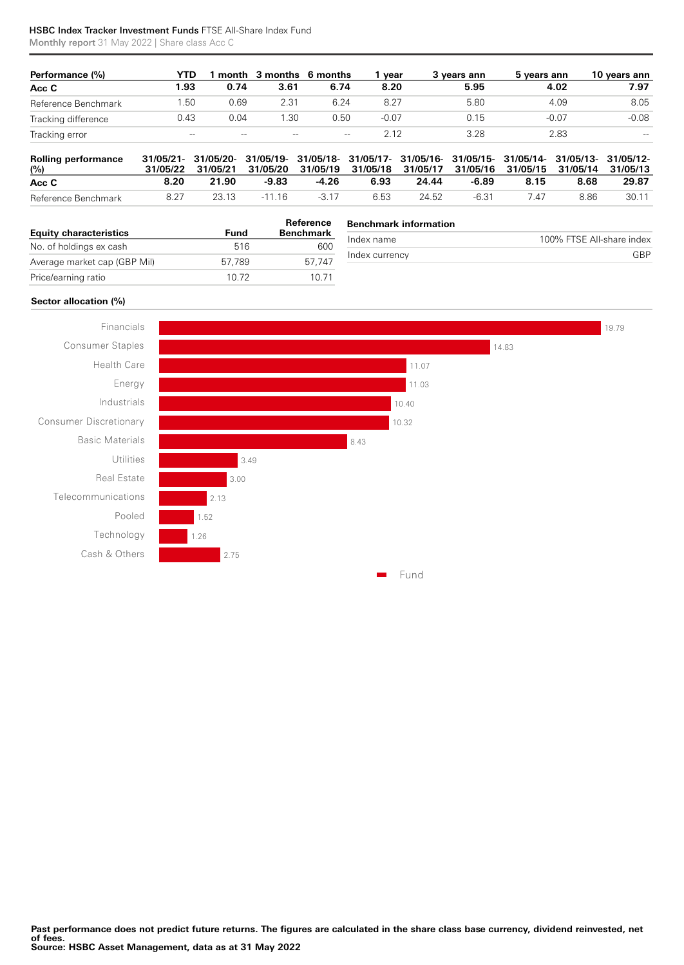#### HSBC Index Tracker Investment Funds FTSE All-Share Index Fund

Monthly report 31 May 2022 | Share class Acc C

| Performance (%)     | YTD   |       | month 3 months 6 months |       | vear    | 3 vears ann | 5 vears ann | 10 years ann |
|---------------------|-------|-------|-------------------------|-------|---------|-------------|-------------|--------------|
| Acc C               | 1.93  | 0.74  | 3.61                    | 6.74  | 8.20    | 5.95        | 4.02        | 7.97         |
| Reference Benchmark | .50   | 0.69  | 2.31                    | 6.24  | 8.27    | 5.80        | 4.09        | 8.05         |
| Tracking difference | 0.43  | 0.04  | .30                     | 0.50  | $-0.07$ | 0.15        | $-0.07$     | $-0.08$      |
| Tracking error      | $-\!$ | $- -$ | $- -$                   | $-\!$ | 2.12    | 3.28        | 2.83        | $-\!$        |

| <b>Rolling performance</b><br>$\frac{10}{6}$ |      |       | 31/05/21- 31/05/20- 31/05/19- 31/05/18- 31/05/17- 31/05/16- 31/05/15- 31/05/14- 31/05/13- 31/05/12-<br>31/05/22 31/05/21 31/05/20 31/05/19 31/05/18 31/05/17 31/05/16 31/05/15 31/05/14 31/05/13 |        |      |       |       |      |      |       |
|----------------------------------------------|------|-------|--------------------------------------------------------------------------------------------------------------------------------------------------------------------------------------------------|--------|------|-------|-------|------|------|-------|
| Acc C                                        | 8.20 | 21.90 | -9.83                                                                                                                                                                                            | -4.26  | 6.93 | 24.44 | -6.89 | 8.15 | 8.68 | 29.87 |
| Reference Benchmark                          | 8.27 | 23.13 | -11 16                                                                                                                                                                                           | $-317$ | 6.53 | 24.52 | -6.31 | 7 47 | 8.86 | 30.11 |

| <b>Equity characteristics</b> |        | Reference<br><b>Benchmark</b> | <b>Benchmark information</b> |                           |  |  |
|-------------------------------|--------|-------------------------------|------------------------------|---------------------------|--|--|
|                               | Fund   |                               | Index name                   | 100% FTSE All-share index |  |  |
| No. of holdings ex cash       | 516    | 600                           |                              |                           |  |  |
|                               |        |                               | Index currency               | GBP                       |  |  |
| Average market cap (GBP Mil)  | 57.789 | 57.747                        |                              |                           |  |  |
|                               |        |                               |                              |                           |  |  |
| Price/earning ratio           | 10.72  | 10.71                         |                              |                           |  |  |

#### **Sector allocation (%)**

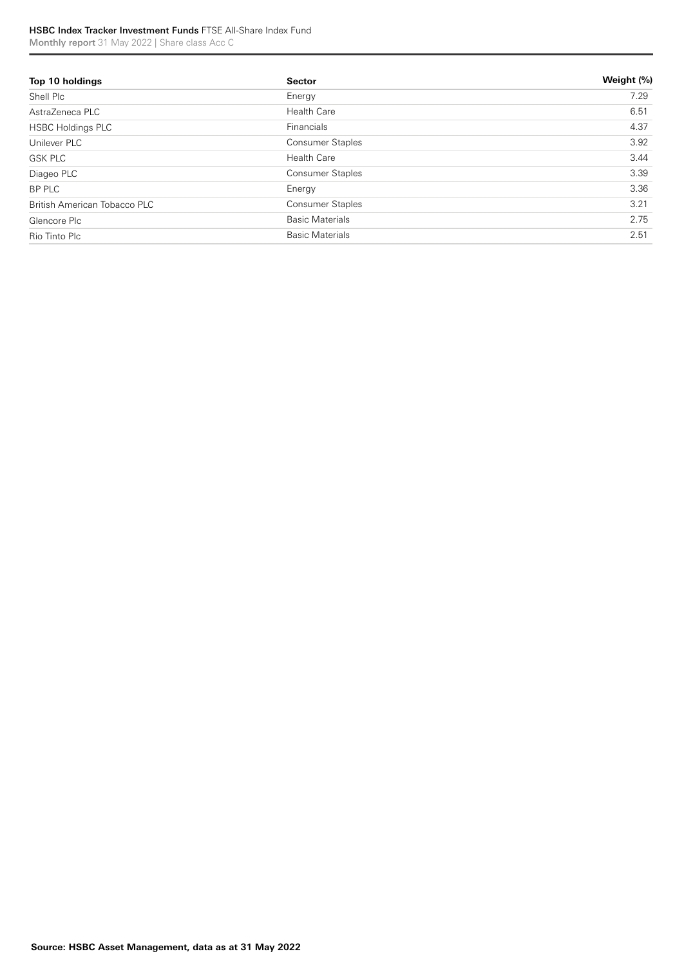#### HSBC Index Tracker Investment Funds FTSE All-Share Index Fund Monthly report 31 May 2022 | Share class Acc C

**Top 10 holdings Sector Weight (%)** Shell Plc Energy 7.29 AstraZeneca PLC 6.51 HSBC Holdings PLC **Financials Financials 1.37** Unilever PLC 3.92 GSK PLC **Solution Care and Solution Care** 3.44 Health Care 3.44 Health Care 3.44 Second 3.44 Second 3.44 Second 3.44 Diageo PLC Consumer Staples 3.39 BP PLC Energy 3.36 British American Tobacco PLC **Consumer Staples** Consumer Staples 3.21 Glencore Plc Basic Materials 2.75 Rio Tinto Plc **Basic Materials 2.51** Basic Materials 2.51 Basic Materials 2.51 Basic Materials 2.51 Basic Materials